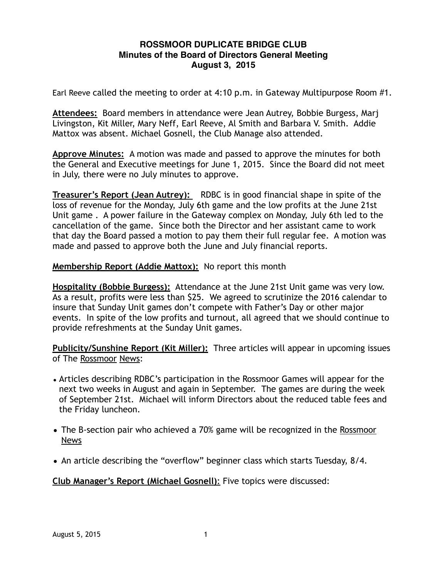## **ROSSMOOR DUPLICATE BRIDGE CLUB Minutes of the Board of Directors General Meeting August 3, 2015**

Earl Reeve called the meeting to order at 4:10 p.m. in Gateway Multipurpose Room #1.

**Attendees:** Board members in attendance were Jean Autrey, Bobbie Burgess, Marj Livingston, Kit Miller, Mary Neff, Earl Reeve, Al Smith and Barbara V. Smith. Addie Mattox was absent. Michael Gosnell, the Club Manage also attended.

**Approve Minutes:** A motion was made and passed to approve the minutes for both the General and Executive meetings for June 1, 2015. Since the Board did not meet in July, there were no July minutes to approve.

**Treasurer's Report (Jean Autrey):** RDBC is in good financial shape in spite of the loss of revenue for the Monday, July 6th game and the low profits at the June 21st Unit game . A power failure in the Gateway complex on Monday, July 6th led to the cancellation of the game. Since both the Director and her assistant came to work that day the Board passed a motion to pay them their full regular fee. A motion was made and passed to approve both the June and July financial reports.

**Membership Report (Addie Mattox):** No report this month

**Hospitality (Bobbie Burgess):** Attendance at the June 21st Unit game was very low. As a result, profits were less than \$25. We agreed to scrutinize the 2016 calendar to insure that Sunday Unit games don't compete with Father's Day or other major events. In spite of the low profits and turnout, all agreed that we should continue to provide refreshments at the Sunday Unit games.

**Publicity/Sunshine Report (Kit Miller):** Three articles will appear in upcoming issues of The Rossmoor News:

- Articles describing RDBC's participation in the Rossmoor Games will appear for the next two weeks in August and again in September. The games are during the week of September 21st. Michael will inform Directors about the reduced table fees and the Friday luncheon.
- The B-section pair who achieved a 70% game will be recognized in the Rossmoor News
- An article describing the "overflow" beginner class which starts Tuesday, 8/4.

**Club Manager's Report (Michael Gosnell)**: Five topics were discussed: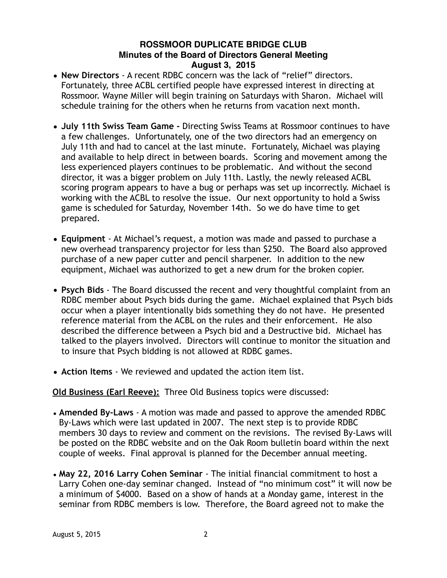## **ROSSMOOR DUPLICATE BRIDGE CLUB Minutes of the Board of Directors General Meeting August 3, 2015**

- **New Directors**  A recent RDBC concern was the lack of "relief" directors. Fortunately, three ACBL certified people have expressed interest in directing at Rossmoor. Wayne Miller will begin training on Saturdays with Sharon. Michael will schedule training for the others when he returns from vacation next month.
- **July 11th Swiss Team Game** Directing Swiss Teams at Rossmoor continues to have a few challenges. Unfortunately, one of the two directors had an emergency on July 11th and had to cancel at the last minute. Fortunately, Michael was playing and available to help direct in between boards. Scoring and movement among the less experienced players continues to be problematic. And without the second director, it was a bigger problem on July 11th. Lastly, the newly released ACBL scoring program appears to have a bug or perhaps was set up incorrectly. Michael is working with the ACBL to resolve the issue. Our next opportunity to hold a Swiss game is scheduled for Saturday, November 14th. So we do have time to get prepared.
- **Equipment** At Michael's request, a motion was made and passed to purchase a new overhead transparency projector for less than \$250. The Board also approved purchase of a new paper cutter and pencil sharpener. In addition to the new equipment, Michael was authorized to get a new drum for the broken copier.
- **Psych Bids** The Board discussed the recent and very thoughtful complaint from an RDBC member about Psych bids during the game. Michael explained that Psych bids occur when a player intentionally bids something they do not have. He presented reference material from the ACBL on the rules and their enforcement. He also described the difference between a Psych bid and a Destructive bid. Michael has talked to the players involved. Directors will continue to monitor the situation and to insure that Psych bidding is not allowed at RDBC games.
- **Action Items** We reviewed and updated the action item list.

# **Old Business (Earl Reeve):** Three Old Business topics were discussed:

- **Amended By-Laws** A motion was made and passed to approve the amended RDBC By-Laws which were last updated in 2007. The next step is to provide RDBC members 30 days to review and comment on the revisions. The revised By-Laws will be posted on the RDBC website and on the Oak Room bulletin board within the next couple of weeks. Final approval is planned for the December annual meeting.
- **May 22, 2016 Larry Cohen Seminar** The initial financial commitment to host a Larry Cohen one-day seminar changed. Instead of "no minimum cost" it will now be a minimum of \$4000. Based on a show of hands at a Monday game, interest in the seminar from RDBC members is low. Therefore, the Board agreed not to make the